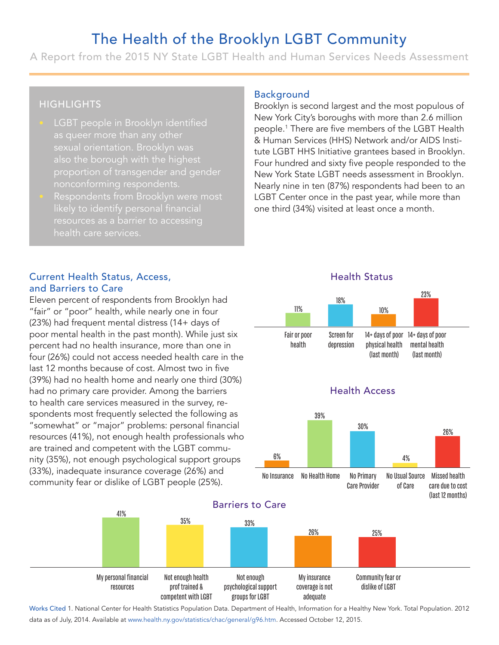# The Health of the Brooklyn LGBT Community

A Report from the 2015 NY State LGBT Health and Human Services Needs Assessment

## **HIGHLIGHTS**

- LGBT people in Brooklyn identified as queer more than any other also the borough with the highest proportion of transgender and gender nonconforming respondents.
- Respondents from Brooklyn were most health care services.

#### Current Health Status, Access, and Barriers to Care

Eleven percent of respondents from Brooklyn had "fair" or "poor" health, while nearly one in four (23%) had frequent mental distress (14+ days of poor mental health in the past month). While just six percent had no health insurance, more than one in four (26%) could not access needed health care in the last 12 months because of cost. Almost two in five (39%) had no health home and nearly one third (30%) had no primary care provider. Among the barriers to health care services measured in the survey, respondents most frequently selected the following as "somewhat" or "major" problems: personal financial resources (41%), not enough health professionals who are trained and competent with the LGBT community (35%), not enough psychological support groups (33%), inadequate insurance coverage (26%) and community fear or dislike of LGBT people (25%).

41%

# Background

Brooklyn is second largest and the most populous of New York City's boroughs with more than 2.6 million people.<sup>1</sup> There are five members of the LGBT Health & Human Services (HHS) Network and/or AIDS Institute LGBT HHS Initiative grantees based in Brooklyn. Four hundred and sixty five people responded to the New York State LGBT needs assessment in Brooklyn. Nearly nine in ten (87%) respondents had been to an LGBT Center once in the past year, while more than one third (34%) visited at least once a month. Expround<br>
Solven is second<br>
Solven is second<br>
Solven Piece are<br>
Express the LGBT HHS Inity<br>
In thundred and<br>
In the Viet State LG<br>
Solven In ten<br>
Third (34%) vis<br>
Il<br>
Fair or poor<br>
Fair or poor<br>
Fair or poor<br>
Fair or poor<br> 11% +18+1023 18%

#### Health Status





Works Cited 1. National Center for Health Statistics Population Data. Department of Health, Information for a Healthy New York. Total Population. 2012 data as of July, 2014. Available at www.health.ny.gov/statistics/chac/general/g96.htm. Accessed October 12, 2015.